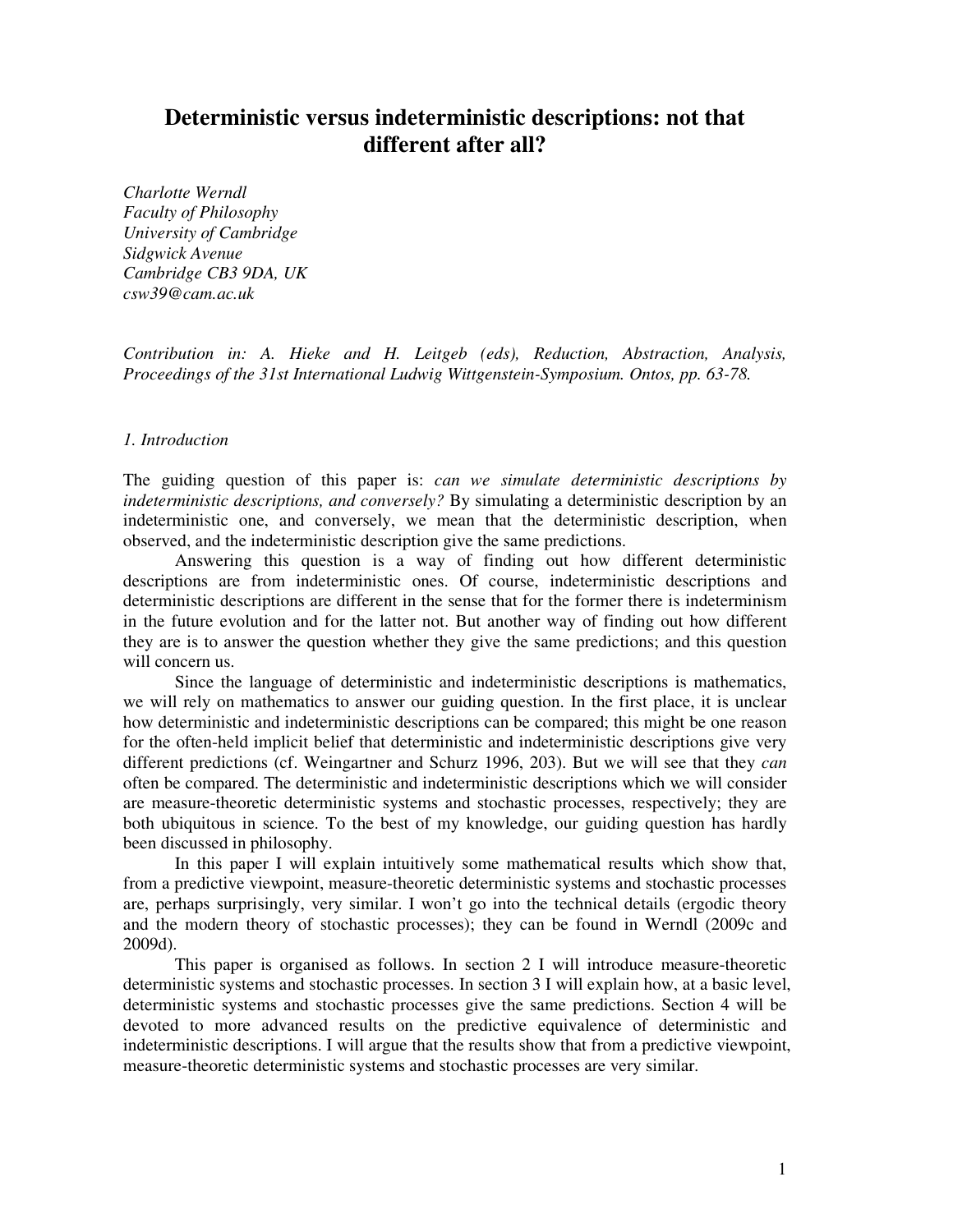# **Deterministic versus indeterministic descriptions: not that different after all?**

*Charlotte Werndl Faculty of Philosophy University of Cambridge Sidgwick Avenue Cambridge CB3 9DA, UK csw39@cam.ac.uk* 

*Contribution in: A. Hieke and H. Leitgeb (eds), Reduction, Abstraction, Analysis, Proceedings of the 31st International Ludwig Wittgenstein-Symposium. Ontos, pp. 63-78.* 

#### *1. Introduction*

The guiding question of this paper is: *can we simulate deterministic descriptions by indeterministic descriptions, and conversely?* By simulating a deterministic description by an indeterministic one, and conversely, we mean that the deterministic description, when observed, and the indeterministic description give the same predictions.

Answering this question is a way of finding out how different deterministic descriptions are from indeterministic ones. Of course, indeterministic descriptions and deterministic descriptions are different in the sense that for the former there is indeterminism in the future evolution and for the latter not. But another way of finding out how different they are is to answer the question whether they give the same predictions; and this question will concern us.

Since the language of deterministic and indeterministic descriptions is mathematics, we will rely on mathematics to answer our guiding question. In the first place, it is unclear how deterministic and indeterministic descriptions can be compared; this might be one reason for the often-held implicit belief that deterministic and indeterministic descriptions give very different predictions (cf. Weingartner and Schurz 1996, 203). But we will see that they *can* often be compared. The deterministic and indeterministic descriptions which we will consider are measure-theoretic deterministic systems and stochastic processes, respectively; they are both ubiquitous in science. To the best of my knowledge, our guiding question has hardly been discussed in philosophy.

In this paper I will explain intuitively some mathematical results which show that, from a predictive viewpoint, measure-theoretic deterministic systems and stochastic processes are, perhaps surprisingly, very similar. I won't go into the technical details (ergodic theory and the modern theory of stochastic processes); they can be found in Werndl (2009c and 2009d).

This paper is organised as follows. In section 2 I will introduce measure-theoretic deterministic systems and stochastic processes. In section 3 I will explain how, at a basic level, deterministic systems and stochastic processes give the same predictions. Section 4 will be devoted to more advanced results on the predictive equivalence of deterministic and indeterministic descriptions. I will argue that the results show that from a predictive viewpoint, measure-theoretic deterministic systems and stochastic processes are very similar.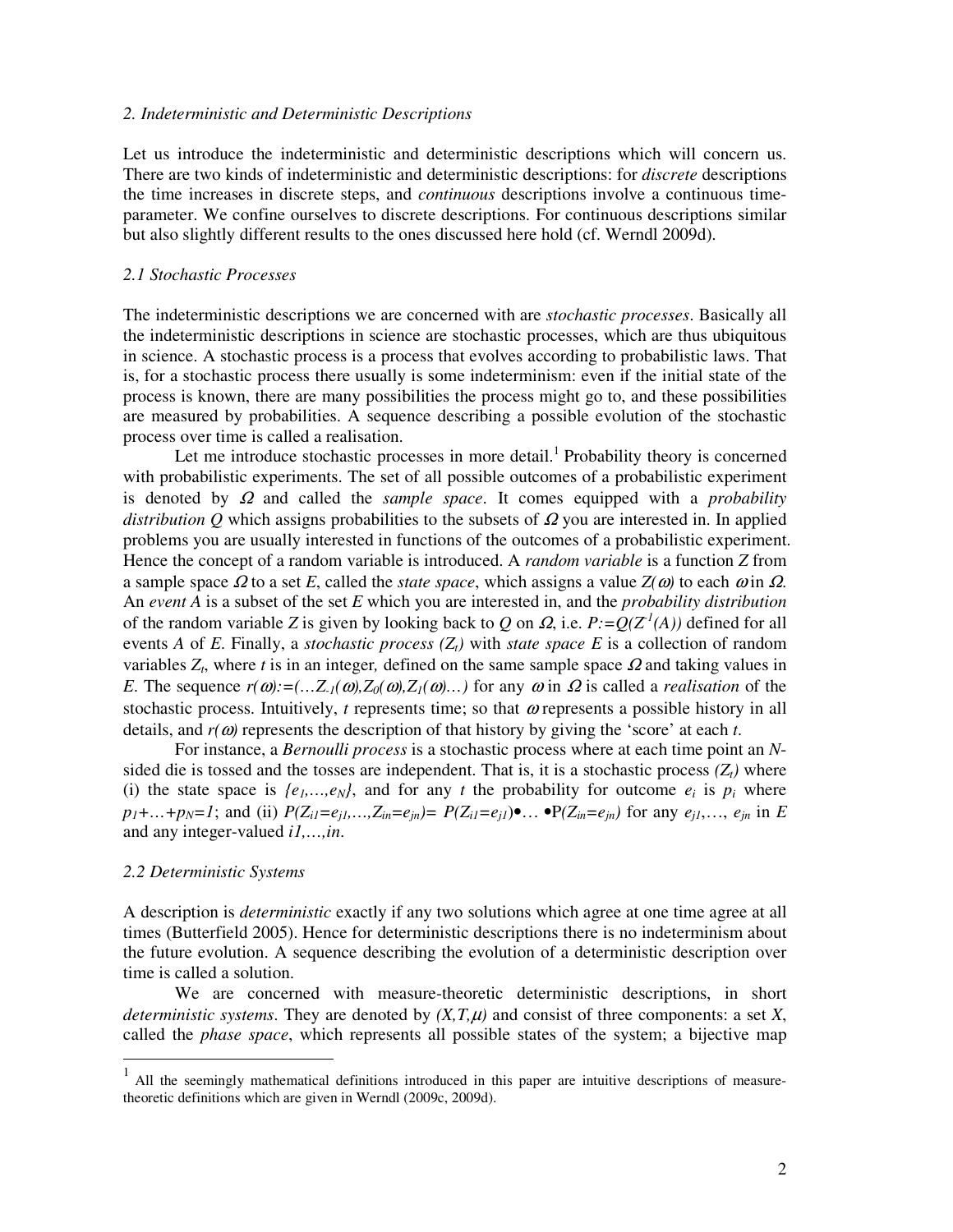#### *2. Indeterministic and Deterministic Descriptions*

Let us introduce the indeterministic and deterministic descriptions which will concern us. There are two kinds of indeterministic and deterministic descriptions: for *discrete* descriptions the time increases in discrete steps, and *continuous* descriptions involve a continuous timeparameter. We confine ourselves to discrete descriptions. For continuous descriptions similar but also slightly different results to the ones discussed here hold (cf. Werndl 2009d).

#### *2.1 Stochastic Processes*

The indeterministic descriptions we are concerned with are *stochastic processes*. Basically all the indeterministic descriptions in science are stochastic processes, which are thus ubiquitous in science. A stochastic process is a process that evolves according to probabilistic laws. That is, for a stochastic process there usually is some indeterminism: even if the initial state of the process is known, there are many possibilities the process might go to, and these possibilities are measured by probabilities. A sequence describing a possible evolution of the stochastic process over time is called a realisation.

Let me introduce stochastic processes in more detail.<sup>1</sup> Probability theory is concerned with probabilistic experiments. The set of all possible outcomes of a probabilistic experiment is denoted by Ω and called the *sample space*. It comes equipped with a *probability distribution*  $Q$  which assigns probabilities to the subsets of  $\Omega$  you are interested in. In applied problems you are usually interested in functions of the outcomes of a probabilistic experiment. Hence the concept of a random variable is introduced. A *random variable* is a function *Z* from a sample space  $\Omega$  to a set *E*, called the *state space*, which assigns a value  $Z(\omega)$  to each  $\omega$  in  $\Omega$ . An *event A* is a subset of the set *E* which you are interested in, and the *probability distribution* of the random variable *Z* is given by looking back to *Q* on  $\Omega$ , i.e.  $P:=O(Z^1(A))$  defined for all events *A* of *E*. Finally, a *stochastic process (Zt)* with *state space E* is a collection of random variables  $Z_t$ , where *t* is in an integer, defined on the same sample space  $\Omega$  and taking values in *E*. The sequence  $r(\omega) := (...Z_{1}(\omega), Z_{0}(\omega), Z_{1}(\omega), ...)$  for any  $\omega$  in  $\Omega$  is called a *realisation* of the stochastic process. Intuitively,  $t$  represents time; so that  $\omega$  represents a possible history in all details, and  $r(\omega)$  represents the description of that history by giving the 'score' at each *t*.

For instance, a *Bernoulli process* is a stochastic process where at each time point an *N*sided die is tossed and the tosses are independent. That is, it is a stochastic process  $(Z_t)$  where (i) the state space is  $\{e_1, \ldots, e_N\}$ , and for any *t* the probability for outcome  $e_i$  is  $p_i$  where  $p_1 + ... + p_N = 1$ ; and (ii)  $P(Z_{i1} = e_{j1}, ..., Z_{in} = e_{jn}) = P(Z_{i1} = e_{j1}) \bullet ... \bullet P(Z_{in} = e_{jn})$  for any  $e_{j1}, ..., e_{jn}$  in E and any integer-valued *i1,…,in*.

# *2.2 Deterministic Systems*

 $\overline{a}$ 

A description is *deterministic* exactly if any two solutions which agree at one time agree at all times (Butterfield 2005). Hence for deterministic descriptions there is no indeterminism about the future evolution. A sequence describing the evolution of a deterministic description over time is called a solution.

We are concerned with measure-theoretic deterministic descriptions, in short *deterministic systems*. They are denoted by *(X,T,*µ*)* and consist of three components: a set *X*, called the *phase space*, which represents all possible states of the system; a bijective map

<sup>&</sup>lt;sup>1</sup> All the seemingly mathematical definitions introduced in this paper are intuitive descriptions of measuretheoretic definitions which are given in Werndl (2009c, 2009d).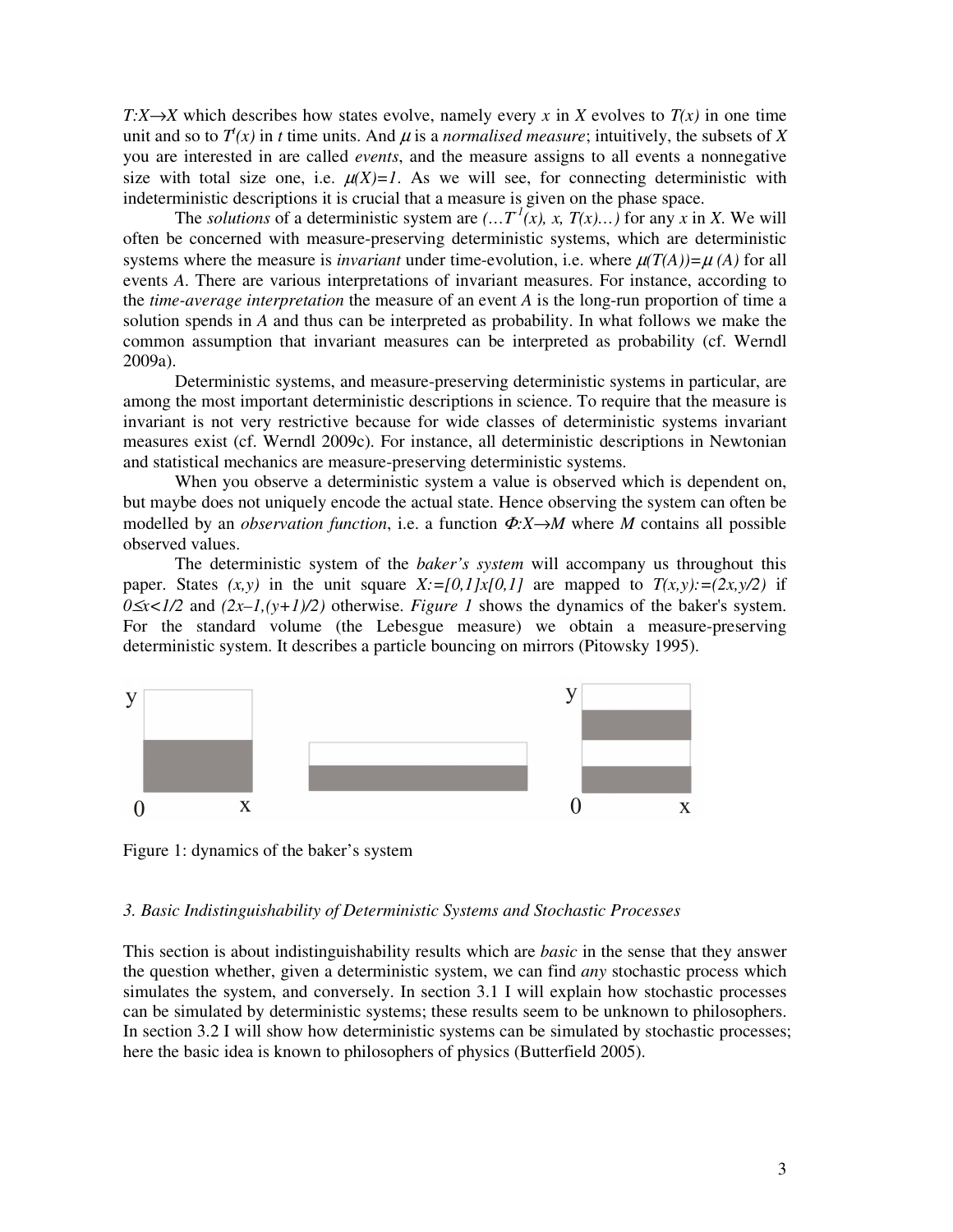*T:X* $\rightarrow$ *X* which describes how states evolve, namely every *x* in *X* evolves to *T(x)* in one time unit and so to  $T'(x)$  in *t* time units. And  $\mu$  is a *normalised measure*; intuitively, the subsets of *X* you are interested in are called *events*, and the measure assigns to all events a nonnegative size with total size one, i.e.  $\mu(X)=1$ . As we will see, for connecting deterministic with indeterministic descriptions it is crucial that a measure is given on the phase space.

The *solutions* of a deterministic system are  $(\ldots T^{T}(x), x, T(x) \ldots)$  for any *x* in *X*. We will often be concerned with measure-preserving deterministic systems, which are deterministic systems where the measure is *invariant* under time-evolution, i.e. where  $\mu(T(A)) = \mu(A)$  for all events *A*. There are various interpretations of invariant measures. For instance, according to the *time-average interpretation* the measure of an event *A* is the long-run proportion of time a solution spends in *A* and thus can be interpreted as probability. In what follows we make the common assumption that invariant measures can be interpreted as probability (cf. Werndl 2009a).

Deterministic systems, and measure-preserving deterministic systems in particular, are among the most important deterministic descriptions in science. To require that the measure is invariant is not very restrictive because for wide classes of deterministic systems invariant measures exist (cf. Werndl 2009c). For instance, all deterministic descriptions in Newtonian and statistical mechanics are measure-preserving deterministic systems.

When you observe a deterministic system a value is observed which is dependent on, but maybe does not uniquely encode the actual state. Hence observing the system can often be modelled by an *observation function*, i.e. a function  $\Phi$ :  $X \rightarrow M$  where M contains all possible observed values.

The deterministic system of the *baker's system* will accompany us throughout this paper. States  $(x, y)$  in the unit square  $X := [0, 1]x[0, 1]$  are mapped to  $T(x, y) := (2x, y/2)$  if *0*≤*x<1/2* and *(2x–1,(y+1)/2)* otherwise. *Figure 1* shows the dynamics of the baker's system. For the standard volume (the Lebesgue measure) we obtain a measure-preserving deterministic system. It describes a particle bouncing on mirrors (Pitowsky 1995).



Figure 1: dynamics of the baker's system

#### *3. Basic Indistinguishability of Deterministic Systems and Stochastic Processes*

This section is about indistinguishability results which are *basic* in the sense that they answer the question whether, given a deterministic system, we can find *any* stochastic process which simulates the system, and conversely. In section 3.1 I will explain how stochastic processes can be simulated by deterministic systems; these results seem to be unknown to philosophers. In section 3.2 I will show how deterministic systems can be simulated by stochastic processes; here the basic idea is known to philosophers of physics (Butterfield 2005).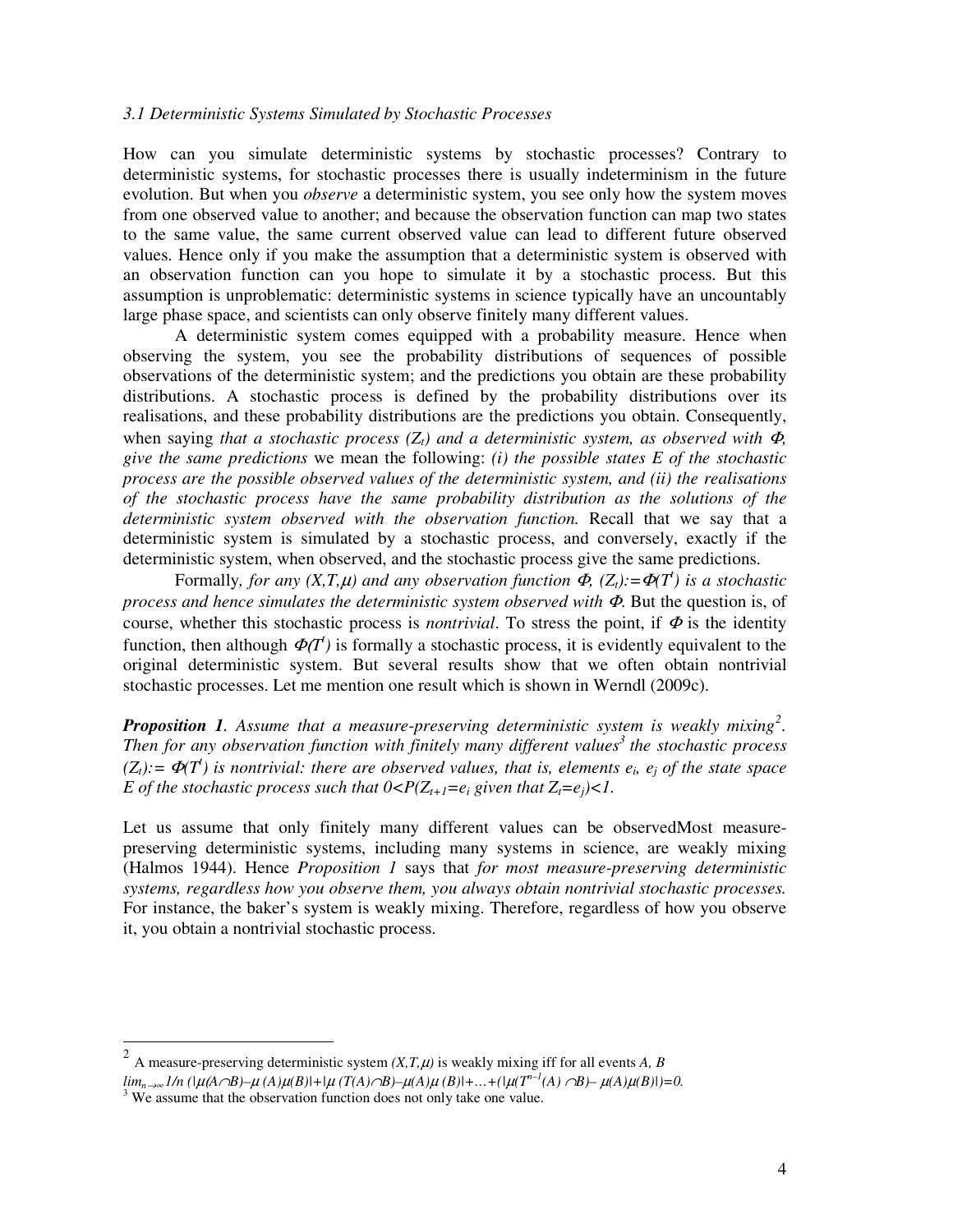#### *3.1 Deterministic Systems Simulated by Stochastic Processes*

How can you simulate deterministic systems by stochastic processes? Contrary to deterministic systems, for stochastic processes there is usually indeterminism in the future evolution. But when you *observe* a deterministic system, you see only how the system moves from one observed value to another; and because the observation function can map two states to the same value, the same current observed value can lead to different future observed values. Hence only if you make the assumption that a deterministic system is observed with an observation function can you hope to simulate it by a stochastic process. But this assumption is unproblematic: deterministic systems in science typically have an uncountably large phase space, and scientists can only observe finitely many different values.

A deterministic system comes equipped with a probability measure. Hence when observing the system, you see the probability distributions of sequences of possible observations of the deterministic system; and the predictions you obtain are these probability distributions. A stochastic process is defined by the probability distributions over its realisations, and these probability distributions are the predictions you obtain. Consequently, when saying *that a stochastic process (Z<sub>t</sub>)</sub> and a deterministic system, as observed with*  $\Phi$ *, give the same predictions* we mean the following: *(i) the possible states E of the stochastic process are the possible observed values of the deterministic system, and (ii) the realisations of the stochastic process have the same probability distribution as the solutions of the deterministic system observed with the observation function.* Recall that we say that a deterministic system is simulated by a stochastic process, and conversely, exactly if the deterministic system, when observed, and the stochastic process give the same predictions.

Formally, for any  $(X, T, \mu)$  and any observation function  $\Phi$ ,  $(Z_t) := \Phi(T^t)$  is a stochastic *process and hence simulates the deterministic system observed with* Φ. But the question is, of course, whether this stochastic process is *nontrivial*. To stress the point, if  $\Phi$  is the identity function, then although  $\Phi(\overline{T})$  is formally a stochastic process, it is evidently equivalent to the original deterministic system. But several results show that we often obtain nontrivial stochastic processes. Let me mention one result which is shown in Werndl (2009c).

*Proposition 1. Assume that a measure-preserving deterministic system is weakly mixing<sup>2</sup> . Then for any observation function with finitely many different values<sup>3</sup> the stochastic process*   $(Z_t) := \Phi(T^t)$  is nontrivial: there are observed values, that is, elements  $e_i$ ,  $e_j$  of the state space *E* of the stochastic process such that  $0 < P(Z_{t+1} = e_i \text{ given that } Z_t = e_j) < 1$ .

Let us assume that only finitely many different values can be observedMost measurepreserving deterministic systems, including many systems in science, are weakly mixing (Halmos 1944). Hence *Proposition 1* says that *for most measure-preserving deterministic systems, regardless how you observe them, you always obtain nontrivial stochastic processes.* For instance, the baker's system is weakly mixing. Therefore, regardless of how you observe it, you obtain a nontrivial stochastic process.

 $\overline{a}$ 

<sup>2</sup> A measure-preserving deterministic system *(X,T,*µ*)* is weakly mixing iff for all events *A, B*

*lim<sup>n</sup>*→∞ *1/n (|*µ(*A*∩*B)–*µ *(A)*µ*(B)|+|*µ *(T(A)*∩*B)–*µ*(A)*µ *(B)|+…+(|*µ*(Tn–1(A)* ∩*B)–* µ*(A)*µ*(B)|)=0.* 

 $3$  We assume that the observation function does not only take one value.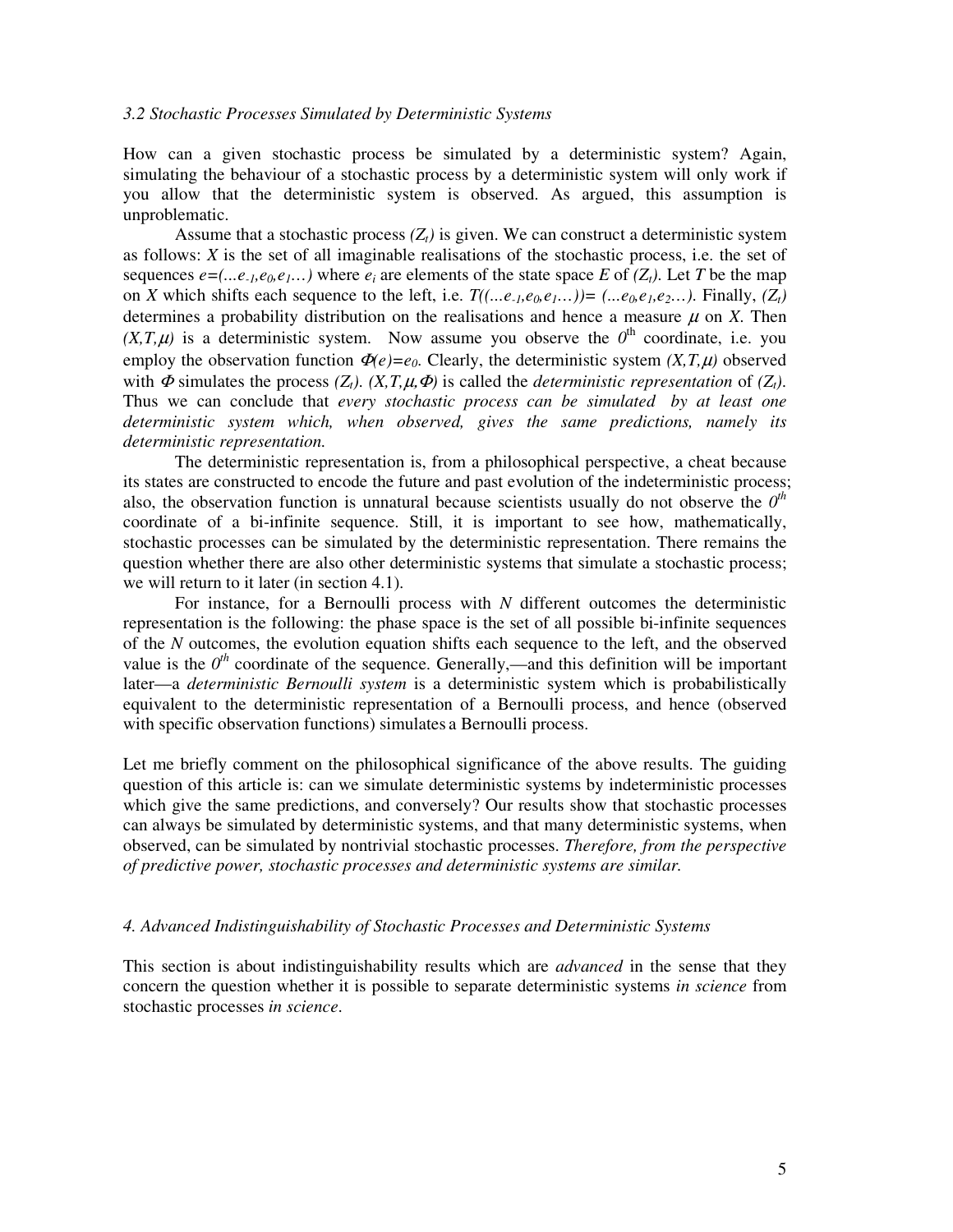#### *3.2 Stochastic Processes Simulated by Deterministic Systems*

How can a given stochastic process be simulated by a deterministic system? Again, simulating the behaviour of a stochastic process by a deterministic system will only work if you allow that the deterministic system is observed. As argued, this assumption is unproblematic.

Assume that a stochastic process  $(Z_t)$  is given. We can construct a deterministic system as follows: *X* is the set of all imaginable realisations of the stochastic process, i.e. the set of sequences  $e=(...e_1,e_0,e_1...)$  where  $e_i$  are elements of the state space  $E$  of  $(Z_t)$ . Let  $T$  be the map on X which shifts each sequence to the left, i.e.  $T((...e_1,e_0,e_1...)) = (...e_0,e_1,e_2...)$ . Finally,  $(Z_t)$ determines a probability distribution on the realisations and hence a measure  $\mu$  on *X*. Then  $(X, T, \mu)$  is a deterministic system. Now assume you observe the  $0<sup>th</sup>$  coordinate, i.e. you employ the observation function  $\Phi(e) = e_0$ . Clearly, the deterministic system  $(X, T, \mu)$  observed with  $\Phi$  simulates the process  $(Z_t)$ .  $(X,T,\mu,\Phi)$  is called the *deterministic representation* of  $(Z_t)$ . Thus we can conclude that *every stochastic process can be simulated by at least one deterministic system which, when observed, gives the same predictions, namely its deterministic representation.* 

The deterministic representation is, from a philosophical perspective, a cheat because its states are constructed to encode the future and past evolution of the indeterministic process; also, the observation function is unnatural because scientists usually do not observe the  $0<sup>th</sup>$ coordinate of a bi-infinite sequence. Still, it is important to see how, mathematically, stochastic processes can be simulated by the deterministic representation. There remains the question whether there are also other deterministic systems that simulate a stochastic process; we will return to it later (in section 4.1).

For instance, for a Bernoulli process with *N* different outcomes the deterministic representation is the following: the phase space is the set of all possible bi-infinite sequences of the *N* outcomes, the evolution equation shifts each sequence to the left, and the observed value is the  $0<sup>th</sup>$  coordinate of the sequence. Generally,—and this definition will be important later—a *deterministic Bernoulli system* is a deterministic system which is probabilistically equivalent to the deterministic representation of a Bernoulli process, and hence (observed with specific observation functions) simulates a Bernoulli process.

Let me briefly comment on the philosophical significance of the above results. The guiding question of this article is: can we simulate deterministic systems by indeterministic processes which give the same predictions, and conversely? Our results show that stochastic processes can always be simulated by deterministic systems, and that many deterministic systems, when observed, can be simulated by nontrivial stochastic processes. *Therefore, from the perspective of predictive power, stochastic processes and deterministic systems are similar.* 

## *4. Advanced Indistinguishability of Stochastic Processes and Deterministic Systems*

This section is about indistinguishability results which are *advanced* in the sense that they concern the question whether it is possible to separate deterministic systems *in science* from stochastic processes *in science*.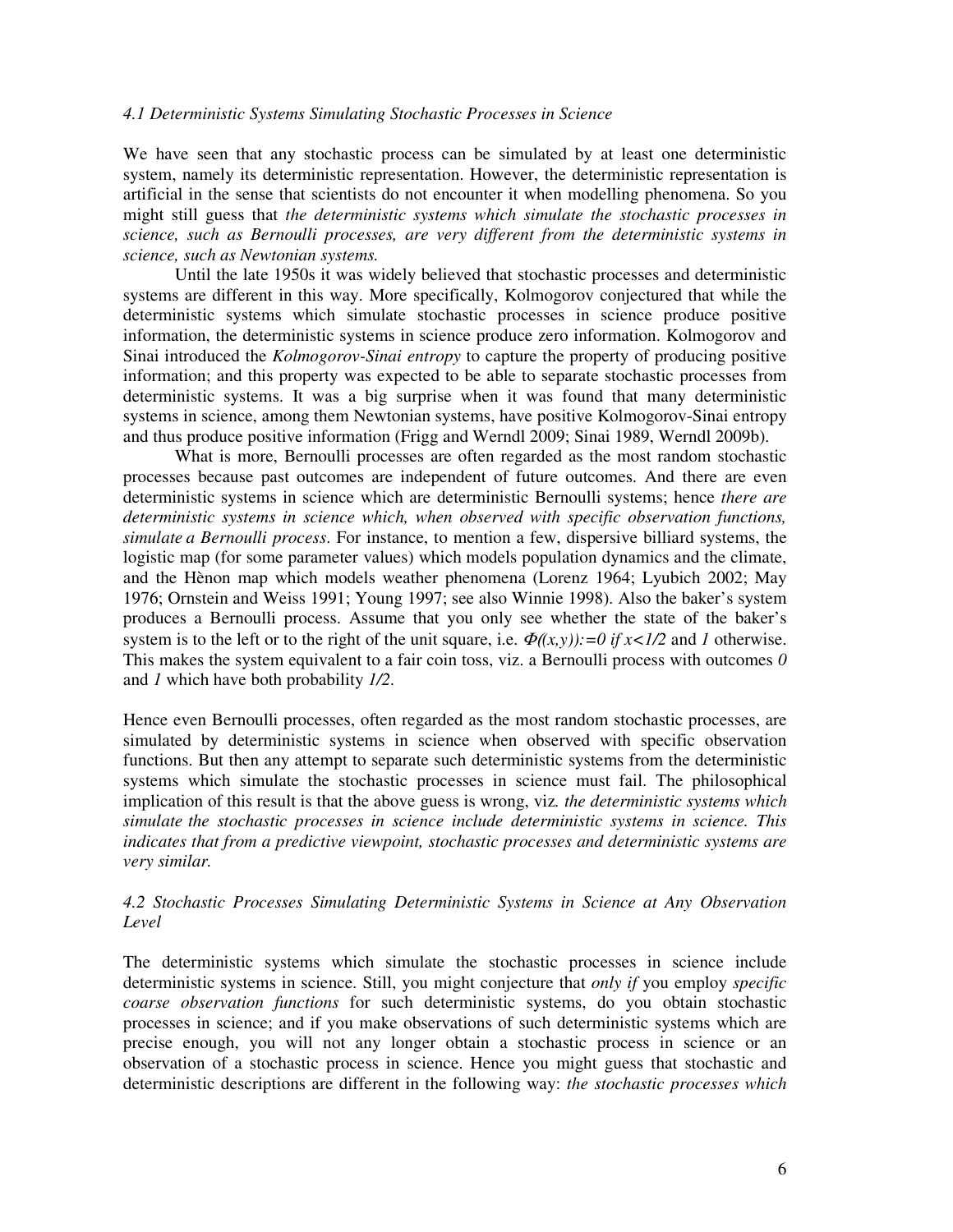#### *4.1 Deterministic Systems Simulating Stochastic Processes in Science*

We have seen that any stochastic process can be simulated by at least one deterministic system, namely its deterministic representation. However, the deterministic representation is artificial in the sense that scientists do not encounter it when modelling phenomena. So you might still guess that *the deterministic systems which simulate the stochastic processes in science, such as Bernoulli processes, are very different from the deterministic systems in science, such as Newtonian systems.* 

Until the late 1950s it was widely believed that stochastic processes and deterministic systems are different in this way. More specifically, Kolmogorov conjectured that while the deterministic systems which simulate stochastic processes in science produce positive information, the deterministic systems in science produce zero information. Kolmogorov and Sinai introduced the *Kolmogorov-Sinai entropy* to capture the property of producing positive information; and this property was expected to be able to separate stochastic processes from deterministic systems. It was a big surprise when it was found that many deterministic systems in science, among them Newtonian systems, have positive Kolmogorov-Sinai entropy and thus produce positive information (Frigg and Werndl 2009; Sinai 1989, Werndl 2009b).

What is more, Bernoulli processes are often regarded as the most random stochastic processes because past outcomes are independent of future outcomes. And there are even deterministic systems in science which are deterministic Bernoulli systems; hence *there are deterministic systems in science which, when observed with specific observation functions, simulate a Bernoulli process*. For instance, to mention a few, dispersive billiard systems, the logistic map (for some parameter values) which models population dynamics and the climate, and the Hènon map which models weather phenomena (Lorenz 1964; Lyubich 2002; May 1976; Ornstein and Weiss 1991; Young 1997; see also Winnie 1998). Also the baker's system produces a Bernoulli process. Assume that you only see whether the state of the baker's system is to the left or to the right of the unit square, i.e.  $\Phi(f(x,y)) = 0$  if  $x < 1/2$  and *1* otherwise. This makes the system equivalent to a fair coin toss, viz. a Bernoulli process with outcomes *0* and *1* which have both probability *1/2*.

Hence even Bernoulli processes, often regarded as the most random stochastic processes, are simulated by deterministic systems in science when observed with specific observation functions. But then any attempt to separate such deterministic systems from the deterministic systems which simulate the stochastic processes in science must fail. The philosophical implication of this result is that the above guess is wrong, viz*. the deterministic systems which simulate the stochastic processes in science include deterministic systems in science. This indicates that from a predictive viewpoint, stochastic processes and deterministic systems are very similar.* 

## *4.2 Stochastic Processes Simulating Deterministic Systems in Science at Any Observation Level*

The deterministic systems which simulate the stochastic processes in science include deterministic systems in science. Still, you might conjecture that *only if* you employ *specific coarse observation functions* for such deterministic systems, do you obtain stochastic processes in science; and if you make observations of such deterministic systems which are precise enough, you will not any longer obtain a stochastic process in science or an observation of a stochastic process in science. Hence you might guess that stochastic and deterministic descriptions are different in the following way: *the stochastic processes which*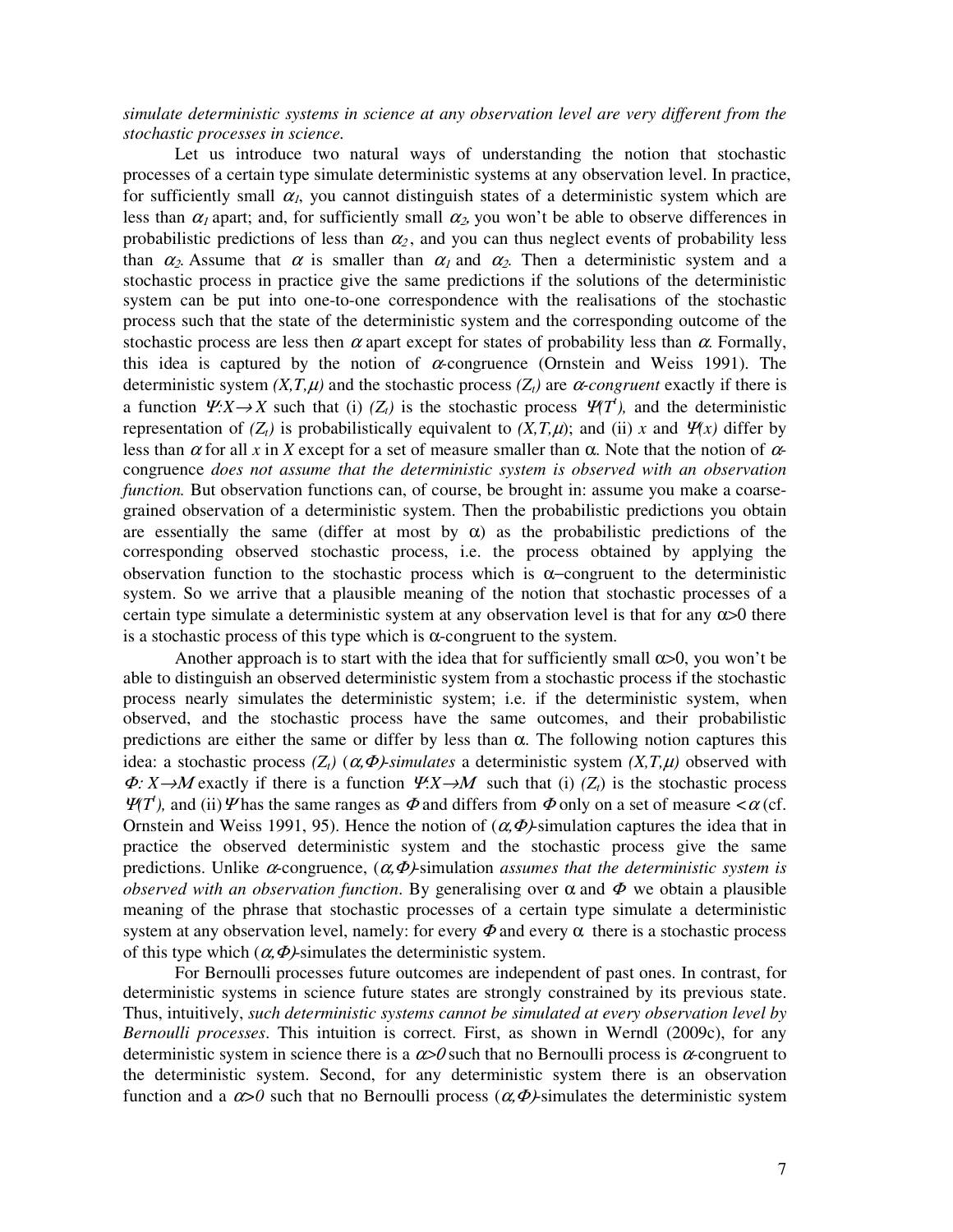*simulate deterministic systems in science at any observation level are very different from the stochastic processes in science.* 

Let us introduce two natural ways of understanding the notion that stochastic processes of a certain type simulate deterministic systems at any observation level. In practice, for sufficiently small  $\alpha_1$ , you cannot distinguish states of a deterministic system which are less than  $\alpha_1$  apart; and, for sufficiently small  $\alpha_2$ , you won't be able to observe differences in probabilistic predictions of less than  $\alpha_2$ , and you can thus neglect events of probability less than  $\alpha_2$ . Assume that  $\alpha$  is smaller than  $\alpha_1$  and  $\alpha_2$ . Then a deterministic system and a stochastic process in practice give the same predictions if the solutions of the deterministic system can be put into one-to-one correspondence with the realisations of the stochastic process such that the state of the deterministic system and the corresponding outcome of the stochastic process are less then  $\alpha$  apart except for states of probability less than  $\alpha$ . Formally, this idea is captured by the notion of  $\alpha$ -congruence (Ornstein and Weiss 1991). The deterministic system  $(X, T, \mu)$  and the stochastic process  $(Z_t)$  are  $\alpha$ -congruent exactly if there is a function  $\Psi: X \to X$  such that (i)  $(Z_t)$  is the stochastic process  $\Psi(T^t)$ , and the deterministic representation of  $(Z_t)$  is probabilistically equivalent to  $(X,T,\mu)$ ; and (ii) *x* and  $\Psi(x)$  differ by less than  $\alpha$  for all x in X except for a set of measure smaller than  $\alpha$ . Note that the notion of  $\alpha$ congruence *does not assume that the deterministic system is observed with an observation function*. But observation functions can, of course, be brought in: assume you make a coarsegrained observation of a deterministic system. Then the probabilistic predictions you obtain are essentially the same (differ at most by  $\alpha$ ) as the probabilistic predictions of the corresponding observed stochastic process, i.e. the process obtained by applying the observation function to the stochastic process which is  $\alpha$ -congruent to the deterministic system. So we arrive that a plausible meaning of the notion that stochastic processes of a certain type simulate a deterministic system at any observation level is that for any  $\alpha > 0$  there is a stochastic process of this type which is α-congruent to the system.

Another approach is to start with the idea that for sufficiently small  $\alpha > 0$ , you won't be able to distinguish an observed deterministic system from a stochastic process if the stochastic process nearly simulates the deterministic system; i.e. if the deterministic system, when observed, and the stochastic process have the same outcomes, and their probabilistic predictions are either the same or differ by less than  $\alpha$ . The following notion captures this idea: a stochastic process  $(Z_t)$  ( $\alpha, \Phi$ *)-simulates* a deterministic system  $(X, T, \mu)$  observed with  $\Phi: X \rightarrow M$  exactly if there is a function  $\Psi: X \rightarrow M$  such that (i)  $(Z_t)$  is the stochastic process *Ψ*(*T*<sup>*t*</sup>), and (ii) *Ψ* has the same ranges as  $\Phi$  and differs from  $\Phi$  only on a set of measure  $\langle \alpha \rangle$  (cf. Ornstein and Weiss 1991, 95). Hence the notion of  $(\alpha, \Phi)$ -simulation captures the idea that in practice the observed deterministic system and the stochastic process give the same predictions. Unlike  $\alpha$ -congruence,  $(\alpha, \Phi)$ -simulation *assumes that the deterministic system is observed with an observation function*. By generalising over  $\alpha$  and  $\Phi$  we obtain a plausible meaning of the phrase that stochastic processes of a certain type simulate a deterministic system at any observation level, namely: for every  $\Phi$  and every  $\alpha$  there is a stochastic process of this type which  $(\alpha, \Phi)$ -simulates the deterministic system.

For Bernoulli processes future outcomes are independent of past ones. In contrast, for deterministic systems in science future states are strongly constrained by its previous state. Thus, intuitively, *such deterministic systems cannot be simulated at every observation level by Bernoulli processes*. This intuition is correct. First, as shown in Werndl (2009c), for any deterministic system in science there is a  $\alpha > 0$  such that no Bernoulli process is  $\alpha$ -congruent to the deterministic system. Second, for any deterministic system there is an observation function and a  $\alpha > 0$  such that no Bernoulli process  $(\alpha, \phi)$ -simulates the deterministic system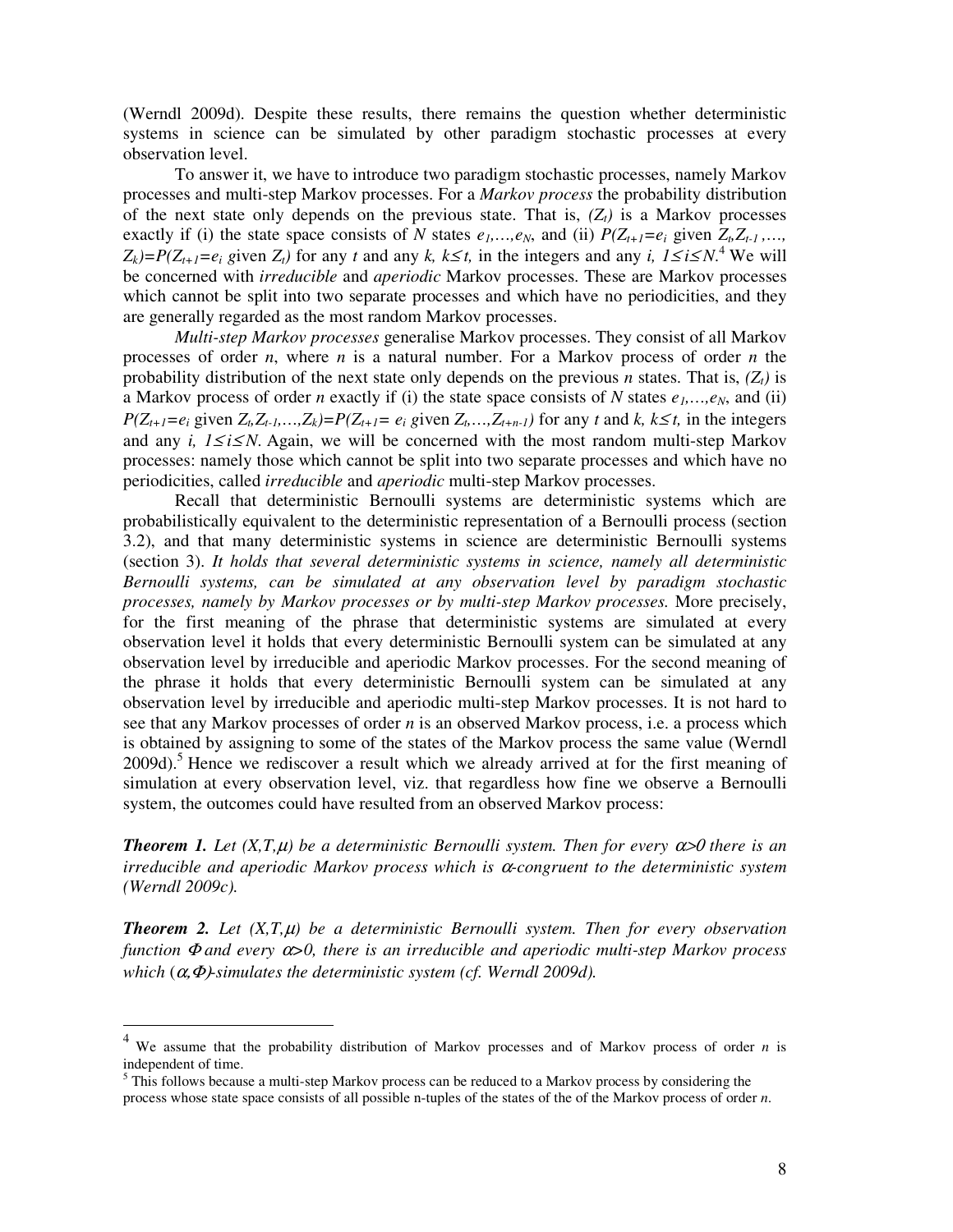(Werndl 2009d). Despite these results, there remains the question whether deterministic systems in science can be simulated by other paradigm stochastic processes at every observation level.

To answer it, we have to introduce two paradigm stochastic processes, namely Markov processes and multi-step Markov processes. For a *Markov process* the probability distribution of the next state only depends on the previous state. That is,  $(Z_t)$  is a Markov processes exactly if (i) the state space consists of *N* states  $e_1$ , *m*,  $e_N$ , and (ii)  $P(Z_{t+1} = e_i \text{ given } Z_t Z_{t-1}$ , ...,  $Z_k$ )=P( $Z_{t+1}$ = $e_i$  given  $Z_t$ ) for any *t* and any *k, k*≤*t*, in the integers and any *i, 1*≤*i*≤ *N*.<sup>4</sup> We will be concerned with *irreducible* and *aperiodic* Markov processes. These are Markov processes which cannot be split into two separate processes and which have no periodicities, and they are generally regarded as the most random Markov processes.

*Multi-step Markov processes* generalise Markov processes. They consist of all Markov processes of order *n*, where *n* is a natural number. For a Markov process of order *n* the probability distribution of the next state only depends on the previous *n* states. That is,  $(Z_t)$  is a Markov process of order *n* exactly if (i) the state space consists of *N* states *e1,…,eN*, and (ii)  $P(Z_{t+1}=e_i \text{ given } Z_t, Z_{t-1},..., Z_k) = P(Z_{t+1}=e_i \text{ given } Z_t,...,Z_{t+n-1})$  for any t and k,  $k \leq t$ , in the integers and any *i*,  $1 \le i \le N$ . Again, we will be concerned with the most random multi-step Markov processes: namely those which cannot be split into two separate processes and which have no periodicities, called *irreducible* and *aperiodic* multi-step Markov processes.

Recall that deterministic Bernoulli systems are deterministic systems which are probabilistically equivalent to the deterministic representation of a Bernoulli process (section 3.2), and that many deterministic systems in science are deterministic Bernoulli systems (section 3). *It holds that several deterministic systems in science, namely all deterministic Bernoulli systems, can be simulated at any observation level by paradigm stochastic processes, namely by Markov processes or by multi-step Markov processes.* More precisely, for the first meaning of the phrase that deterministic systems are simulated at every observation level it holds that every deterministic Bernoulli system can be simulated at any observation level by irreducible and aperiodic Markov processes. For the second meaning of the phrase it holds that every deterministic Bernoulli system can be simulated at any observation level by irreducible and aperiodic multi-step Markov processes. It is not hard to see that any Markov processes of order *n* is an observed Markov process, i.e. a process which is obtained by assigning to some of the states of the Markov process the same value (Werndl 2009d).<sup>5</sup> Hence we rediscover a result which we already arrived at for the first meaning of simulation at every observation level, viz. that regardless how fine we observe a Bernoulli system, the outcomes could have resulted from an observed Markov process:

*Theorem 1. Let*  $(X, T, \mu)$  *be a deterministic Bernoulli system. Then for every*  $\alpha > 0$  *there is an irreducible and aperiodic Markov process which is* α*-congruent to the deterministic system (Werndl 2009c).* 

**Theorem 2.** Let  $(X, T, \mu)$  be a deterministic Bernoulli system. Then for every observation *function* Φ *and every* α*>0, there is an irreducible and aperiodic multi-step Markov process which* (α,Φ)-simulates the deterministic system (cf. Werndl 2009d).

 $\overline{a}$ 

<sup>4</sup> We assume that the probability distribution of Markov processes and of Markov process of order *n* is independent of time.

<sup>&</sup>lt;sup>5</sup> This follows because a multi-step Markov process can be reduced to a Markov process by considering the process whose state space consists of all possible n-tuples of the states of the of the Markov process of order *n*.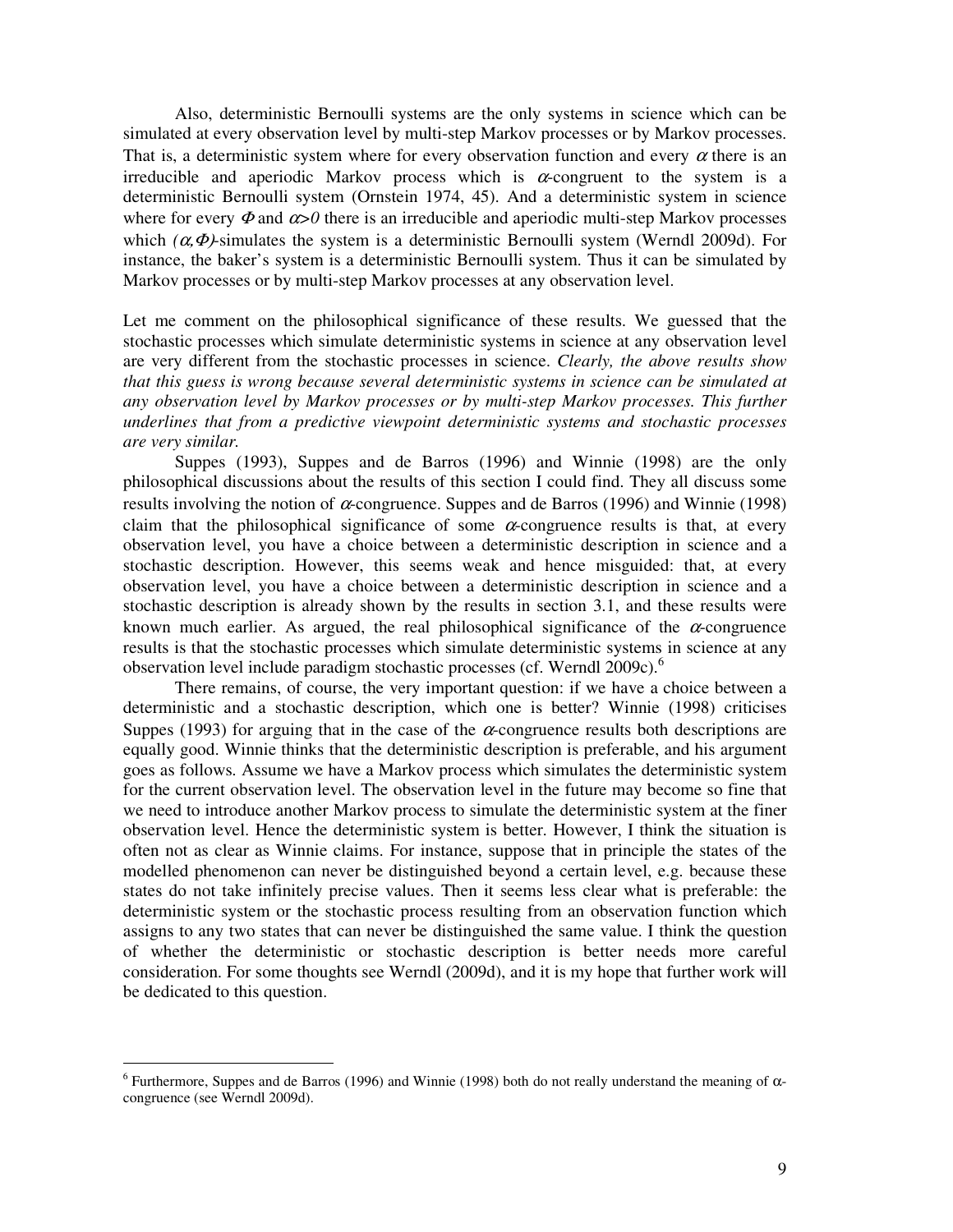Also, deterministic Bernoulli systems are the only systems in science which can be simulated at every observation level by multi-step Markov processes or by Markov processes. That is, a deterministic system where for every observation function and every  $\alpha$  there is an irreducible and aperiodic Markov process which is  $\alpha$ -congruent to the system is a deterministic Bernoulli system (Ornstein 1974, 45). And a deterministic system in science where for every  $\Phi$  and  $\alpha$  > 0 there is an irreducible and aperiodic multi-step Markov processes which  $(\alpha, \phi)$ -simulates the system is a deterministic Bernoulli system (Werndl 2009d). For instance, the baker's system is a deterministic Bernoulli system. Thus it can be simulated by Markov processes or by multi-step Markov processes at any observation level.

Let me comment on the philosophical significance of these results. We guessed that the stochastic processes which simulate deterministic systems in science at any observation level are very different from the stochastic processes in science. *Clearly, the above results show that this guess is wrong because several deterministic systems in science can be simulated at any observation level by Markov processes or by multi-step Markov processes. This further underlines that from a predictive viewpoint deterministic systems and stochastic processes are very similar.*

Suppes (1993), Suppes and de Barros (1996) and Winnie (1998) are the only philosophical discussions about the results of this section I could find. They all discuss some results involving the notion of  $\alpha$ -congruence. Suppes and de Barros (1996) and Winnie (1998) claim that the philosophical significance of some  $\alpha$ -congruence results is that, at every observation level, you have a choice between a deterministic description in science and a stochastic description. However, this seems weak and hence misguided: that, at every observation level, you have a choice between a deterministic description in science and a stochastic description is already shown by the results in section 3.1, and these results were known much earlier. As argued, the real philosophical significance of the  $\alpha$ -congruence results is that the stochastic processes which simulate deterministic systems in science at any observation level include paradigm stochastic processes (cf. Werndl 2009c).<sup>6</sup>

There remains, of course, the very important question: if we have a choice between a deterministic and a stochastic description, which one is better? Winnie (1998) criticises Suppes (1993) for arguing that in the case of the  $\alpha$ -congruence results both descriptions are equally good. Winnie thinks that the deterministic description is preferable, and his argument goes as follows. Assume we have a Markov process which simulates the deterministic system for the current observation level. The observation level in the future may become so fine that we need to introduce another Markov process to simulate the deterministic system at the finer observation level. Hence the deterministic system is better. However, I think the situation is often not as clear as Winnie claims. For instance, suppose that in principle the states of the modelled phenomenon can never be distinguished beyond a certain level, e.g. because these states do not take infinitely precise values. Then it seems less clear what is preferable: the deterministic system or the stochastic process resulting from an observation function which assigns to any two states that can never be distinguished the same value. I think the question of whether the deterministic or stochastic description is better needs more careful consideration. For some thoughts see Werndl (2009d), and it is my hope that further work will be dedicated to this question.

 $\overline{a}$ 

<sup>&</sup>lt;sup>6</sup> Furthermore, Suppes and de Barros (1996) and Winnie (1998) both do not really understand the meaning of αcongruence (see Werndl 2009d).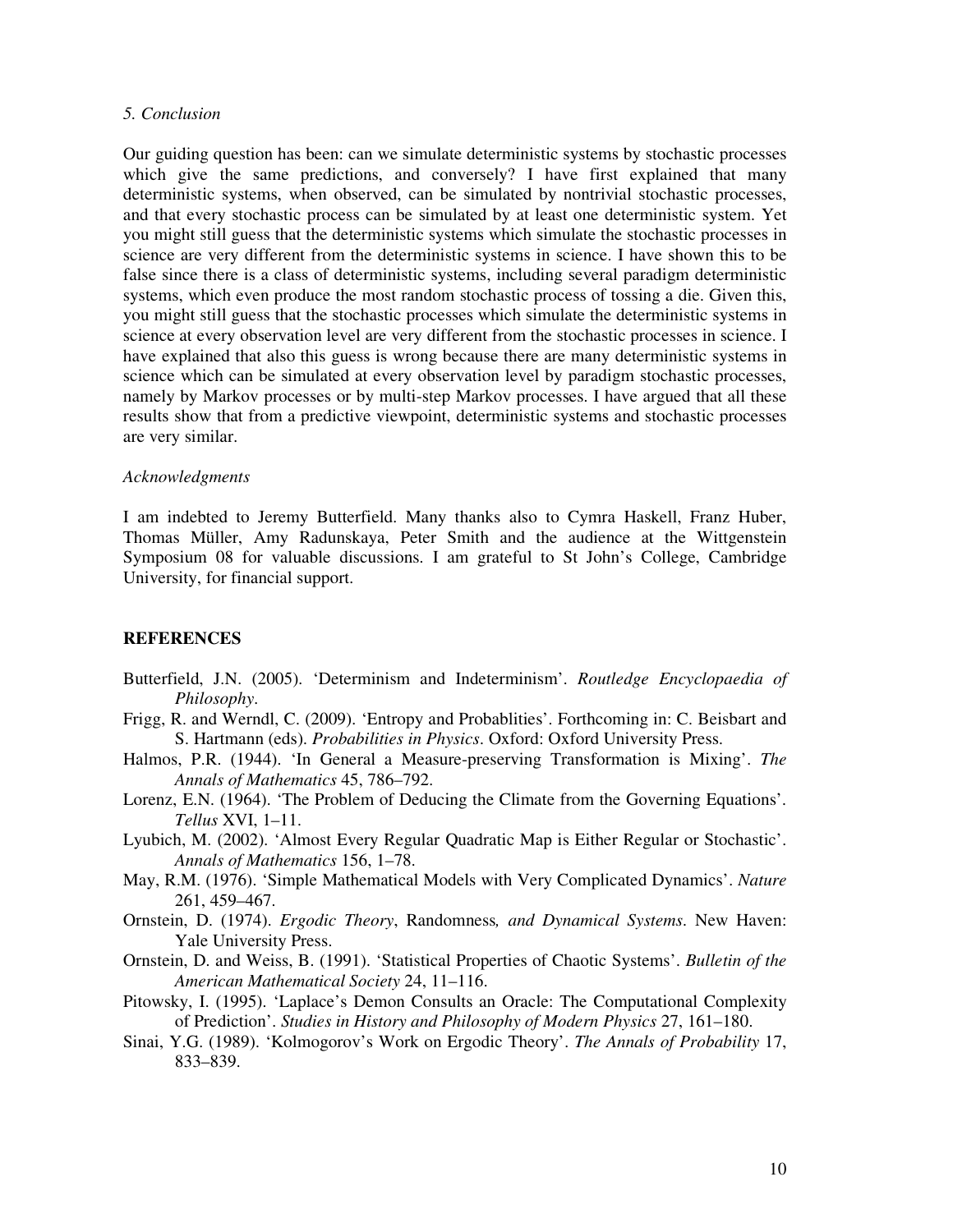#### *5. Conclusion*

Our guiding question has been: can we simulate deterministic systems by stochastic processes which give the same predictions, and conversely? I have first explained that many deterministic systems, when observed, can be simulated by nontrivial stochastic processes, and that every stochastic process can be simulated by at least one deterministic system. Yet you might still guess that the deterministic systems which simulate the stochastic processes in science are very different from the deterministic systems in science. I have shown this to be false since there is a class of deterministic systems, including several paradigm deterministic systems, which even produce the most random stochastic process of tossing a die. Given this, you might still guess that the stochastic processes which simulate the deterministic systems in science at every observation level are very different from the stochastic processes in science. I have explained that also this guess is wrong because there are many deterministic systems in science which can be simulated at every observation level by paradigm stochastic processes, namely by Markov processes or by multi-step Markov processes. I have argued that all these results show that from a predictive viewpoint, deterministic systems and stochastic processes are very similar.

## *Acknowledgments*

I am indebted to Jeremy Butterfield. Many thanks also to Cymra Haskell, Franz Huber, Thomas Müller, Amy Radunskaya, Peter Smith and the audience at the Wittgenstein Symposium 08 for valuable discussions. I am grateful to St John's College, Cambridge University, for financial support.

## **REFERENCES**

- Butterfield, J.N. (2005). 'Determinism and Indeterminism'. *Routledge Encyclopaedia of Philosophy*.
- Frigg, R. and Werndl, C. (2009). 'Entropy and Probablities'. Forthcoming in: C. Beisbart and S. Hartmann (eds). *Probabilities in Physics*. Oxford: Oxford University Press.
- Halmos, P.R. (1944). 'In General a Measure-preserving Transformation is Mixing'. *The Annals of Mathematics* 45, 786–792.
- Lorenz, E.N. (1964). 'The Problem of Deducing the Climate from the Governing Equations'. *Tellus* XVI, 1–11.
- Lyubich, M. (2002). 'Almost Every Regular Quadratic Map is Either Regular or Stochastic'. *Annals of Mathematics* 156, 1–78.
- May, R.M. (1976). 'Simple Mathematical Models with Very Complicated Dynamics'. *Nature*  261, 459–467.
- Ornstein, D. (1974). *Ergodic Theory*, Randomness*, and Dynamical Systems*. New Haven: Yale University Press.
- Ornstein, D. and Weiss, B. (1991). 'Statistical Properties of Chaotic Systems'. *Bulletin of the American Mathematical Society* 24, 11–116.
- Pitowsky, I. (1995). 'Laplace's Demon Consults an Oracle: The Computational Complexity of Prediction'. *Studies in History and Philosophy of Modern Physics* 27, 161–180.
- Sinai, Y.G. (1989). 'Kolmogorov's Work on Ergodic Theory'. *The Annals of Probability* 17, 833–839.